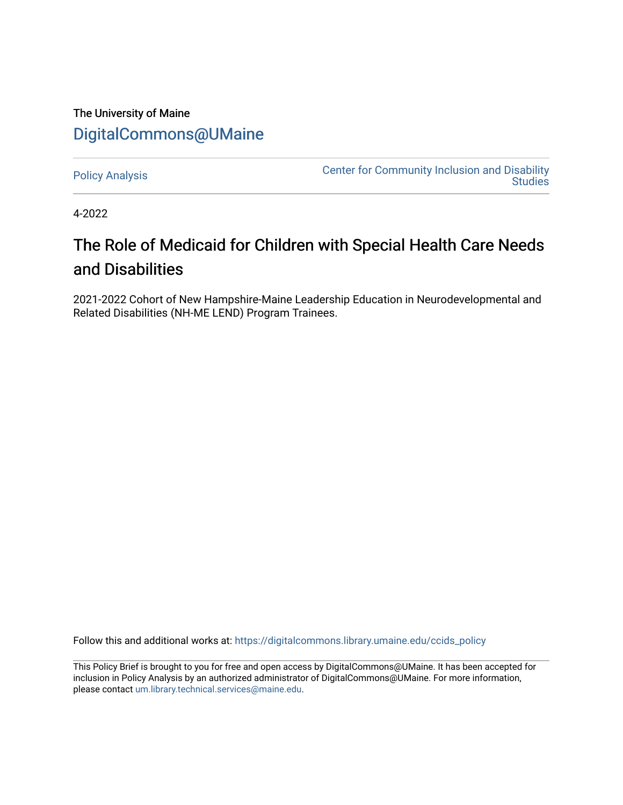# The University of Maine [DigitalCommons@UMaine](https://digitalcommons.library.umaine.edu/)

[Policy Analysis](https://digitalcommons.library.umaine.edu/ccids_policy) **Center for Community Inclusion and Disability**<br>Center for Community Inclusion and Disability **Studies** 

4-2022

# The Role of Medicaid for Children with Special Health Care Needs and Disabilities

2021-2022 Cohort of New Hampshire-Maine Leadership Education in Neurodevelopmental and Related Disabilities (NH-ME LEND) Program Trainees.

Follow this and additional works at: [https://digitalcommons.library.umaine.edu/ccids\\_policy](https://digitalcommons.library.umaine.edu/ccids_policy?utm_source=digitalcommons.library.umaine.edu%2Fccids_policy%2F11&utm_medium=PDF&utm_campaign=PDFCoverPages) 

This Policy Brief is brought to you for free and open access by DigitalCommons@UMaine. It has been accepted for inclusion in Policy Analysis by an authorized administrator of DigitalCommons@UMaine. For more information, please contact [um.library.technical.services@maine.edu.](mailto:um.library.technical.services@maine.edu)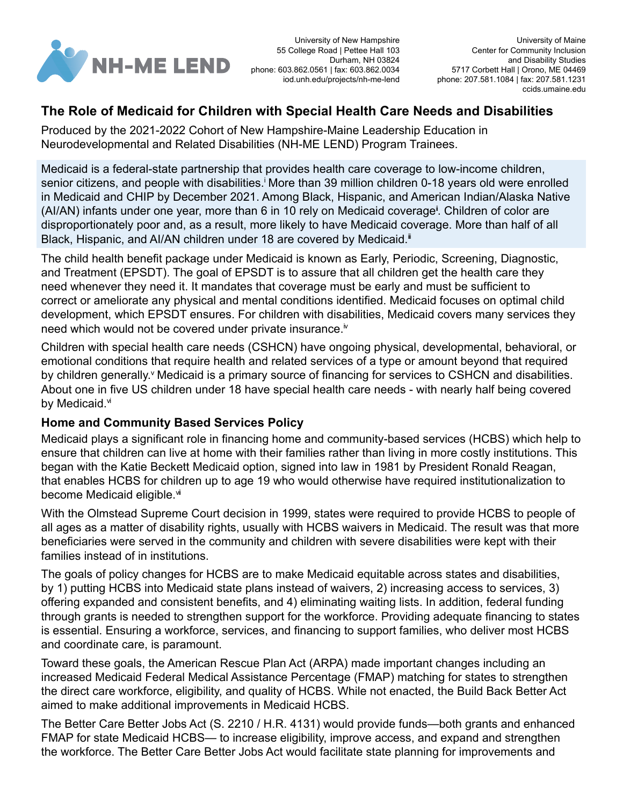<span id="page-1-0"></span>

University of New Hampshire 55 College Road | Pettee Hall 103 Durham, NH 03824 phone: 603.862.0561 | fax: 603.862.0034 iod.unh.edu/projects/nh-me-lend

## **The Role of Medicaid for Children with Special Health Care Needs and Disabilities**

Produced by the 2021-2022 Cohort of New Hampshire-Maine Leadership Education in Neurodevelopmental and Related Disabilities (NH-ME LEND) Program Trainees.

Medicaid is a federal-state partnership that provides health care coverage to low-income children, sen[i](#page-2-0)or citizens, and people with disabilities.<sup>i</sup> More than 39 million children 0-18 years old were enrolled in Medicaid and CHIP by December 2021. Among Black, Hispanic, and American Indian/Alaska Native (AI/AN) infants under one year, more than 6 in 10 rely on Medicaid coverage<sup>i</sup>. Children of color are disproportionately poor and, as a result, more likely to have Medicaid coverage. More than half of all Black, Hispanic, and AI/AN children under 18 are covered by Medicaid.<sup>ii</sup>

The child health benefit package under Medicaid is known as Early, Periodic, Screening, Diagnostic, and Treatment (EPSDT). The goal of EPSDT is to assure that all children get the health care they need whenever they need it. It mandates that coverage must be early and must be sufficient to correct or ameliorate any physical and mental conditions identified. Medicaid focuses on optimal child development, which EPSDT ensures. For children with disabilities, Medicaid covers many services they need which would not be covered under pr[iv](#page-2-0)ate insurance.<sup>iv</sup>

Children with special health care needs (CSHCN) have ongoing physical, developmental, behavioral, or emotional conditions that require health and related services of a type or amount beyond that required by children generally.<sup>v</sup> Medicaid is a primary source of financing for services to CSHCN and disabilities. About one in five US children under 18 have special health care needs - with nearly half being covered by Medicaid. $\mathbf{v}$ 

#### **Home and Community Based Services Policy**

Medicaid plays a significant role in financing home and community-based services (HCBS) which help to ensure that children can live at home with their families rather than living in more costly institutions. This began with the Katie Beckett Medicaid option, signed into law in 1981 by President Ronald Reagan, that enables HCBS for children up to age 19 who would otherwise have required institutionalization to become Medicaid eligible.<sup>vi</sup>

With the Olmstead Supreme Court decision in 1999, states were required to provide HCBS to people of all ages as a matter of disability rights, usually with HCBS waivers in Medicaid. The result was that more beneficiaries were served in the community and children with severe disabilities were kept with their families instead of in institutions.

The goals of policy changes for HCBS are to make Medicaid equitable across states and disabilities, by 1) putting HCBS into Medicaid state plans instead of waivers, 2) increasing access to services, 3) offering expanded and consistent benefits, and 4) eliminating waiting lists. In addition, federal funding through grants is needed to strengthen support for the workforce. Providing adequate financing to states is essential. Ensuring a workforce, services, and financing to support families, who deliver most HCBS and coordinate care, is paramount.

Toward these goals, the American Rescue Plan Act (ARPA) made important changes including an increased Medicaid Federal Medical Assistance Percentage (FMAP) matching for states to strengthen the direct care workforce, eligibility, and quality of HCBS. While not enacted, the Build Back Better Act aimed to make additional improvements in Medicaid HCBS.

The Better Care Better Jobs Act (S. 2210 / H.R. 4131) would provide funds—both grants and enhanced FMAP for state Medicaid HCBS— to increase eligibility, improve access, and expand and strengthen the workforce. The Better Care Better Jobs Act would facilitate state planning for improvements and